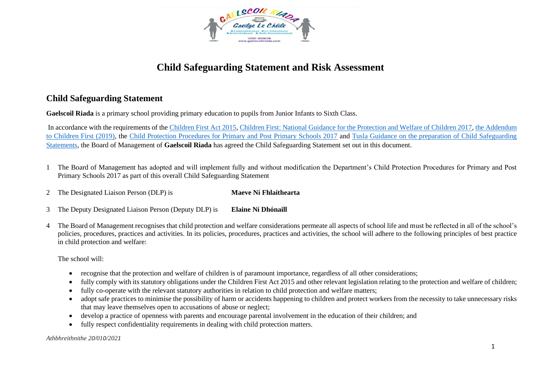

## **Child Safeguarding Statement and Risk Assessment**

## **Child Safeguarding Statement**

**Gaelscoil Riada** is a primary school providing primary education to pupils from Junior Infants to Sixth Class.

In accordance with the requirements of th[e Children First Act 2015,](http://www.irishstatutebook.ie/eli/2015/act/36/enacted/en/pdf) [Children First: National Guidance for the Protection and Welfare of Children 2017,](https://assets.gov.ie/25844/b90aafa55804462f84d05f87f0ca2bf6.pdf) [the Addendum](https://assets.gov.ie/25819/c9744b64dfd6447985eeffa5c0d71bbb.pdf)  [to Children First \(2019\),](https://assets.gov.ie/25819/c9744b64dfd6447985eeffa5c0d71bbb.pdf) the [Child Protection Procedures for Primary and Post Primary Schools 2017](https://www.gov.ie/pdf/?file=https://assets.gov.ie/45063/2d4b5b3d781e4ec1ab4f3e5d198717d9.pdf#page=1) and [Tusla Guidance on the preparation of Child Safeguarding](https://www.tusla.ie/uploads/content/4214-TUSLA_Guidance_on_Developing_a_CSS_LR.PDF)  [Statements,](https://www.tusla.ie/uploads/content/4214-TUSLA_Guidance_on_Developing_a_CSS_LR.PDF) the Board of Management of **Gaelscoil Riada** has agreed the Child Safeguarding Statement set out in this document.

- 1 The Board of Management has adopted and will implement fully and without modification the Department's Child Protection Procedures for Primary and Post Primary Schools 2017 as part of this overall Child Safeguarding Statement
- 2 The Designated Liaison Person (DLP) is **Maeve Ní Fhlaithearta**
- 3 The Deputy Designated Liaison Person (Deputy DLP) is **Elaine Ní Dhónaill**
- 4 The Board of Management recognises that child protection and welfare considerations permeate all aspects of school life and must be reflected in all of the school's policies, procedures, practices and activities. In its policies, procedures, practices and activities, the school will adhere to the following principles of best practice in child protection and welfare:

The school will:

- recognise that the protection and welfare of children is of paramount importance, regardless of all other considerations;
- fully comply with its statutory obligations under the Children First Act 2015 and other relevant legislation relating to the protection and welfare of children;
- fully co-operate with the relevant statutory authorities in relation to child protection and welfare matters;
- adopt safe practices to minimise the possibility of harm or accidents happening to children and protect workers from the necessity to take unnecessary risks that may leave themselves open to accusations of abuse or neglect;
- develop a practice of openness with parents and encourage parental involvement in the education of their children; and
- fully respect confidentiality requirements in dealing with child protection matters.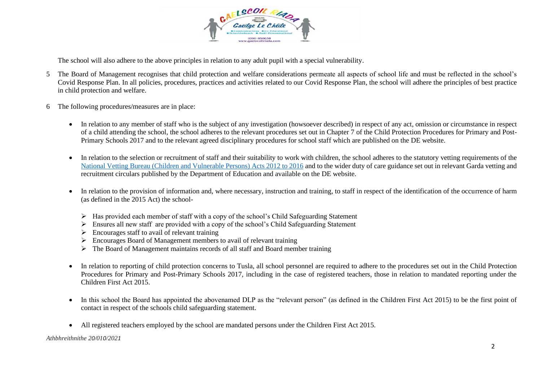

The school will also adhere to the above principles in relation to any adult pupil with a special vulnerability.

- 5 The Board of Management recognises that child protection and welfare considerations permeate all aspects of school life and must be reflected in the school's Covid Response Plan. In all policies, procedures, practices and activities related to our Covid Response Plan, the school will adhere the principles of best practice in child protection and welfare.
- 6 The following procedures/measures are in place:
	- In relation to any member of staff who is the subject of any investigation (howsoever described) in respect of any act, omission or circumstance in respect of a child attending the school, the school adheres to the relevant procedures set out in Chapter 7 of the Child Protection Procedures for Primary and Post-Primary Schools 2017 and to the relevant agreed disciplinary procedures for school staff which are published on the DE website.
	- In relation to the selection or recruitment of staff and their suitability to work with children, the school adheres to the statutory vetting requirements of the [National Vetting Bureau \(Children and Vulnerable Persons\) Acts 2012 to 2016](https://revisedacts.lawreform.ie/eli/2012/act/47/revised/en/pdf) and to the wider duty of care guidance set out in relevant Garda vetting and recruitment circulars published by the Department of Education and available on the DE website.
	- In relation to the provision of information and, where necessary, instruction and training, to staff in respect of the identification of the occurrence of harm (as defined in the 2015 Act) the school-
		- ➢ Has provided each member of staff with a copy of the school's Child Safeguarding Statement
		- ➢ Ensures all new staff are provided with a copy of the school's Child Safeguarding Statement
		- $\triangleright$  Encourages staff to avail of relevant training
		- ➢ Encourages Board of Management members to avail of relevant training
		- ➢ The Board of Management maintains records of all staff and Board member training
	- In relation to reporting of child protection concerns to Tusla, all school personnel are required to adhere to the procedures set out in the Child Protection Procedures for Primary and Post-Primary Schools 2017, including in the case of registered teachers, those in relation to mandated reporting under the Children First Act 2015.
	- In this school the Board has appointed the abovenamed DLP as the "relevant person" (as defined in the Children First Act 2015) to be the first point of contact in respect of the schools child safeguarding statement.
	- All registered teachers employed by the school are mandated persons under the Children First Act 2015.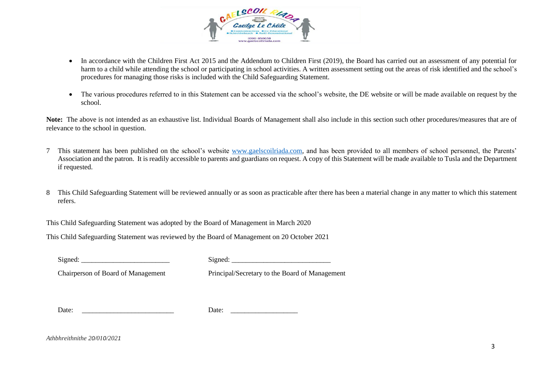

- In accordance with the Children First Act 2015 and the Addendum to Children First (2019), the Board has carried out an assessment of any potential for harm to a child while attending the school or participating in school activities. A written assessment setting out the areas of risk identified and the school's procedures for managing those risks is included with the Child Safeguarding Statement.
- The various procedures referred to in this Statement can be accessed via the school's website, the DE website or will be made available on request by the school.

**Note:** The above is not intended as an exhaustive list. Individual Boards of Management shall also include in this section such other procedures/measures that are of relevance to the school in question.

- 7 This statement has been published on the school's website [www.gaelscoilriada.com,](http://www.gaelscoilriada.com/) and has been provided to all members of school personnel, the Parents' Association and the patron. It is readily accessible to parents and guardians on request. A copy of this Statement will be made available to Tusla and the Department if requested.
- 8 This Child Safeguarding Statement will be reviewed annually or as soon as practicable after there has been a material change in any matter to which this statement refers.

This Child Safeguarding Statement was adopted by the Board of Management in March 2020

This Child Safeguarding Statement was reviewed by the Board of Management on 20 October 2021

Signed: \_\_\_\_\_\_\_\_\_\_\_\_\_\_\_\_\_\_\_\_\_\_\_\_\_ Signed: \_\_\_\_\_\_\_\_\_\_\_\_\_\_\_\_\_\_\_\_\_\_\_\_\_\_\_\_

Chairperson of Board of Management Principal/Secretary to the Board of Management

Date: \_\_\_\_\_\_\_\_\_\_\_\_\_\_\_\_\_\_\_\_\_\_\_\_\_\_ Date: \_\_\_\_\_\_\_\_\_\_\_\_\_\_\_\_\_\_\_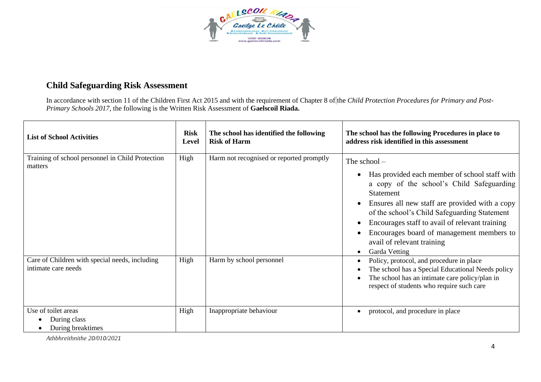

## **Child Safeguarding Risk Assessment**

In accordance with section 11 of the Children First Act 2015 and with the requirement of Chapter 8 of the *Child Protection Procedures for Primary and Post-Primary Schools 2017*, the following is the Written Risk Assessment of **Gaelscoil Riada.**

| <b>List of School Activities</b>                                      | <b>Risk</b><br>Level | The school has identified the following<br><b>Risk of Harm</b> | The school has the following Procedures in place to<br>address risk identified in this assessment                                                                                                                                                                                                                                                                                           |
|-----------------------------------------------------------------------|----------------------|----------------------------------------------------------------|---------------------------------------------------------------------------------------------------------------------------------------------------------------------------------------------------------------------------------------------------------------------------------------------------------------------------------------------------------------------------------------------|
| Training of school personnel in Child Protection<br>matters           | High                 | Harm not recognised or reported promptly                       | The school -<br>Has provided each member of school staff with<br>a copy of the school's Child Safeguarding<br><b>Statement</b><br>Ensures all new staff are provided with a copy<br>of the school's Child Safeguarding Statement<br>Encourages staff to avail of relevant training<br>Encourages board of management members to<br>avail of relevant training<br>Garda Vetting<br>$\bullet$ |
| Care of Children with special needs, including<br>intimate care needs | High                 | Harm by school personnel                                       | Policy, protocol, and procedure in place<br>The school has a Special Educational Needs policy<br>The school has an intimate care policy/plan in<br>respect of students who require such care                                                                                                                                                                                                |
| Use of toilet areas<br>During class<br>During breaktimes              | High                 | Inappropriate behaviour                                        | protocol, and procedure in place<br>٠                                                                                                                                                                                                                                                                                                                                                       |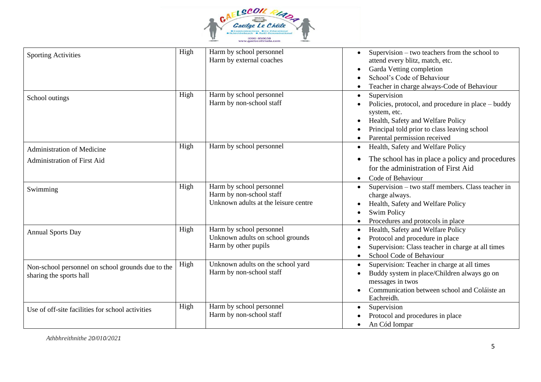

| <b>Sporting Activities</b>                                                   | High | Harm by school personnel<br>Harm by external coaches                                         | Supervision – two teachers from the school to<br>attend every blitz, match, etc.<br>Garda Vetting completion<br>School's Code of Behaviour<br>Teacher in charge always-Code of Behaviour               |
|------------------------------------------------------------------------------|------|----------------------------------------------------------------------------------------------|--------------------------------------------------------------------------------------------------------------------------------------------------------------------------------------------------------|
| School outings                                                               | High | Harm by school personnel<br>Harm by non-school staff                                         | Supervision<br>Policies, protocol, and procedure in place – buddy<br>system, etc.<br>Health, Safety and Welfare Policy<br>Principal told prior to class leaving school<br>Parental permission received |
| <b>Administration of Medicine</b>                                            | High | Harm by school personnel                                                                     | Health, Safety and Welfare Policy                                                                                                                                                                      |
| <b>Administration of First Aid</b>                                           |      |                                                                                              | The school has in place a policy and procedures<br>for the administration of First Aid<br>Code of Behaviour                                                                                            |
| Swimming                                                                     | High | Harm by school personnel<br>Harm by non-school staff<br>Unknown adults at the leisure centre | Supervision - two staff members. Class teacher in<br>charge always.<br>Health, Safety and Welfare Policy<br><b>Swim Policy</b><br>Procedures and protocols in place                                    |
| <b>Annual Sports Day</b>                                                     | High | Harm by school personnel<br>Unknown adults on school grounds<br>Harm by other pupils         | Health, Safety and Welfare Policy<br>Protocol and procedure in place<br>Supervision: Class teacher in charge at all times<br>School Code of Behaviour                                                  |
| Non-school personnel on school grounds due to the<br>sharing the sports hall | High | Unknown adults on the school yard<br>Harm by non-school staff                                | Supervision: Teacher in charge at all times<br>Buddy system in place/Children always go on<br>messages in twos<br>Communication between school and Coláiste an<br>Eachreidh.                           |
| Use of off-site facilities for school activities                             | High | Harm by school personnel<br>Harm by non-school staff                                         | Supervision<br>Protocol and procedures in place<br>An Cód Iompar                                                                                                                                       |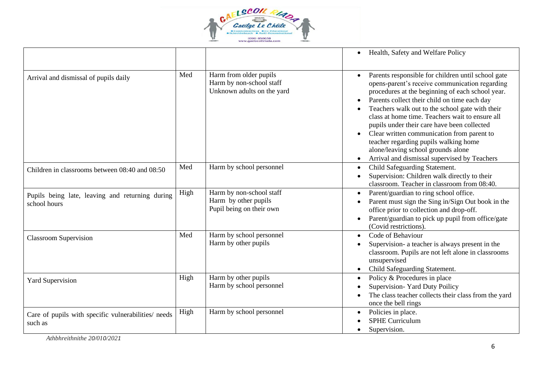

|                                                                 |      |                                                                                  | Health, Safety and Welfare Policy<br>$\bullet$                                                                                                                                                                                                                                                                                                                                                                                                                                                                                                                                                 |
|-----------------------------------------------------------------|------|----------------------------------------------------------------------------------|------------------------------------------------------------------------------------------------------------------------------------------------------------------------------------------------------------------------------------------------------------------------------------------------------------------------------------------------------------------------------------------------------------------------------------------------------------------------------------------------------------------------------------------------------------------------------------------------|
| Arrival and dismissal of pupils daily                           | Med  | Harm from older pupils<br>Harm by non-school staff<br>Unknown adults on the yard | Parents responsible for children until school gate<br>$\bullet$<br>opens-parent's receive communication regarding<br>procedures at the beginning of each school year.<br>Parents collect their child on time each day<br>$\bullet$<br>Teachers walk out to the school gate with their<br>class at home time. Teachers wait to ensure all<br>pupils under their care have been collected<br>Clear written communication from parent to<br>$\bullet$<br>teacher regarding pupils walking home<br>alone/leaving school grounds alone<br>Arrival and dismissal supervised by Teachers<br>$\bullet$ |
| Children in classrooms between 08:40 and 08:50                  | Med  | Harm by school personnel                                                         | Child Safeguarding Statement.<br>$\bullet$<br>Supervision: Children walk directly to their<br>classroom. Teacher in classroom from 08:40.                                                                                                                                                                                                                                                                                                                                                                                                                                                      |
| Pupils being late, leaving and returning during<br>school hours | High | Harm by non-school staff<br>Harm by other pupils<br>Pupil being on their own     | Parent/guardian to ring school office.<br>$\bullet$<br>Parent must sign the Sing in/Sign Out book in the<br>office prior to collection and drop-off.<br>Parent/guardian to pick up pupil from office/gate<br>(Covid restrictions).                                                                                                                                                                                                                                                                                                                                                             |
| <b>Classroom Supervision</b>                                    | Med  | Harm by school personnel<br>Harm by other pupils                                 | Code of Behaviour<br>$\bullet$<br>Supervision- a teacher is always present in the<br>classroom. Pupils are not left alone in classrooms<br>unsupervised<br>Child Safeguarding Statement.                                                                                                                                                                                                                                                                                                                                                                                                       |
| <b>Yard Supervision</b>                                         | High | Harm by other pupils<br>Harm by school personnel                                 | Policy & Procedures in place<br>$\bullet$<br>Supervision- Yard Duty Poilicy<br>The class teacher collects their class from the yard<br>once the bell rings                                                                                                                                                                                                                                                                                                                                                                                                                                     |
| Care of pupils with specific vulnerabilities/ needs<br>such as  | High | Harm by school personnel                                                         | Policies in place.<br><b>SPHE Curriculum</b><br>Supervision.                                                                                                                                                                                                                                                                                                                                                                                                                                                                                                                                   |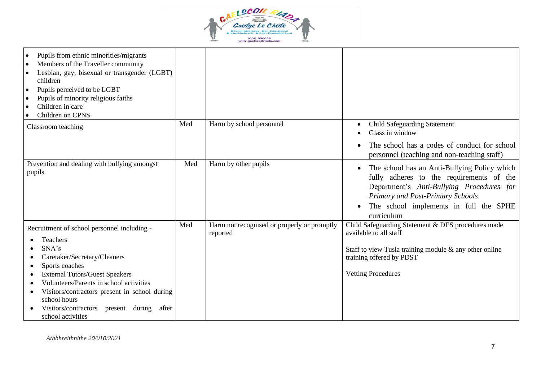

| Pupils from ethnic minorities/migrants<br>$\bullet$<br>Members of the Traveller community<br>$\bullet$<br>Lesbian, gay, bisexual or transgender (LGBT)<br>$\bullet$<br>children<br>Pupils perceived to be LGBT<br>$\bullet$<br>Pupils of minority religious faiths<br>$\bullet$<br>Children in care<br>$\bullet$<br>Children on CPNS<br>$\bullet$ |     |                                                         |                                                                                                                                                                                                                                                             |
|---------------------------------------------------------------------------------------------------------------------------------------------------------------------------------------------------------------------------------------------------------------------------------------------------------------------------------------------------|-----|---------------------------------------------------------|-------------------------------------------------------------------------------------------------------------------------------------------------------------------------------------------------------------------------------------------------------------|
| Classroom teaching                                                                                                                                                                                                                                                                                                                                | Med | Harm by school personnel                                | Child Safeguarding Statement.<br>٠<br>Glass in window                                                                                                                                                                                                       |
|                                                                                                                                                                                                                                                                                                                                                   |     |                                                         | The school has a codes of conduct for school<br>personnel (teaching and non-teaching staff)                                                                                                                                                                 |
| Prevention and dealing with bullying amongst<br>pupils                                                                                                                                                                                                                                                                                            | Med | Harm by other pupils                                    | The school has an Anti-Bullying Policy which<br>$\bullet$<br>fully adheres to the requirements of the<br>Department's Anti-Bullying Procedures for<br>Primary and Post-Primary Schools<br>The school implements in full the SPHE<br>$\bullet$<br>curriculum |
| Recruitment of school personnel including -                                                                                                                                                                                                                                                                                                       | Med | Harm not recognised or properly or promptly<br>reported | Child Safeguarding Statement & DES procedures made<br>available to all staff                                                                                                                                                                                |
| <b>Teachers</b><br>SNA's<br>Caretaker/Secretary/Cleaners<br>Sports coaches<br>٠<br><b>External Tutors/Guest Speakers</b><br>Volunteers/Parents in school activities<br>Visitors/contractors present in school during<br>school hours<br>Visitors/contractors present<br>during<br>after<br>school activities                                      |     |                                                         | Staff to view Tusla training module & any other online<br>training offered by PDST<br><b>Vetting Procedures</b>                                                                                                                                             |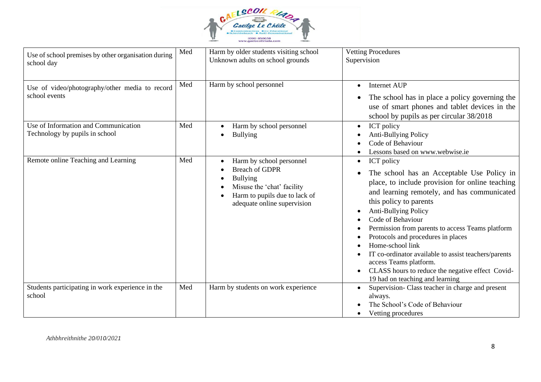

| Use of school premises by other organisation during<br>school day      | Med | Harm by older students visiting school<br>Unknown adults on school grounds                                                                                         | <b>Vetting Procedures</b><br>Supervision                                                                                                                                                                                                                                                                                                                                                                                                                                                                                                     |
|------------------------------------------------------------------------|-----|--------------------------------------------------------------------------------------------------------------------------------------------------------------------|----------------------------------------------------------------------------------------------------------------------------------------------------------------------------------------------------------------------------------------------------------------------------------------------------------------------------------------------------------------------------------------------------------------------------------------------------------------------------------------------------------------------------------------------|
| Use of video/photography/other media to record<br>school events        | Med | Harm by school personnel                                                                                                                                           | <b>Internet AUP</b><br>$\bullet$<br>The school has in place a policy governing the<br>use of smart phones and tablet devices in the<br>school by pupils as per circular 38/2018                                                                                                                                                                                                                                                                                                                                                              |
| Use of Information and Communication<br>Technology by pupils in school | Med | Harm by school personnel<br><b>Bullying</b>                                                                                                                        | ICT policy<br>$\bullet$<br>Anti-Bullying Policy<br>Code of Behaviour<br>Lessons based on www.webwise.ie                                                                                                                                                                                                                                                                                                                                                                                                                                      |
| Remote online Teaching and Learning                                    | Med | Harm by school personnel<br><b>Breach of GDPR</b><br><b>Bullying</b><br>Misuse the 'chat' facility<br>Harm to pupils due to lack of<br>adequate online supervision | ICT policy<br>$\bullet$<br>The school has an Acceptable Use Policy in<br>place, to include provision for online teaching<br>and learning remotely, and has communicated<br>this policy to parents<br><b>Anti-Bullying Policy</b><br>Code of Behaviour<br>Permission from parents to access Teams platform<br>Protocols and procedures in places<br>Home-school link<br>IT co-ordinator available to assist teachers/parents<br>access Teams platform.<br>CLASS hours to reduce the negative effect Covid-<br>19 had on teaching and learning |
| Students participating in work experience in the<br>school             | Med | Harm by students on work experience                                                                                                                                | Supervision- Class teacher in charge and present<br>always.<br>The School's Code of Behaviour<br>Vetting procedures                                                                                                                                                                                                                                                                                                                                                                                                                          |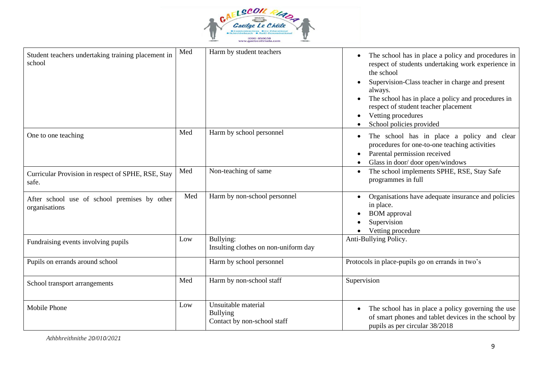

| Student teachers undertaking training placement in<br>school  | Med | Harm by student teachers                                              | The school has in place a policy and procedures in<br>respect of students undertaking work experience in<br>the school<br>Supervision-Class teacher in charge and present<br>always.<br>The school has in place a policy and procedures in<br>respect of student teacher placement<br>Vetting procedures<br>School policies provided |
|---------------------------------------------------------------|-----|-----------------------------------------------------------------------|--------------------------------------------------------------------------------------------------------------------------------------------------------------------------------------------------------------------------------------------------------------------------------------------------------------------------------------|
| One to one teaching                                           | Med | Harm by school personnel                                              | The school has in place a policy and clear<br>procedures for one-to-one teaching activities<br>Parental permission received<br>Glass in door/door open/windows                                                                                                                                                                       |
| Curricular Provision in respect of SPHE, RSE, Stay<br>safe.   | Med | Non-teaching of same                                                  | The school implements SPHE, RSE, Stay Safe<br>$\bullet$<br>programmes in full                                                                                                                                                                                                                                                        |
| After school use of school premises by other<br>organisations | Med | Harm by non-school personnel                                          | Organisations have adequate insurance and policies<br>in place.<br><b>BOM</b> approval<br>Supervision<br>Vetting procedure                                                                                                                                                                                                           |
| Fundraising events involving pupils                           | Low | Bullying:<br>Insulting clothes on non-uniform day                     | Anti-Bullying Policy.                                                                                                                                                                                                                                                                                                                |
| Pupils on errands around school                               |     | Harm by school personnel                                              | Protocols in place-pupils go on errands in two's                                                                                                                                                                                                                                                                                     |
| School transport arrangements                                 | Med | Harm by non-school staff                                              | Supervision                                                                                                                                                                                                                                                                                                                          |
| <b>Mobile Phone</b>                                           | Low | Unsuitable material<br><b>Bullying</b><br>Contact by non-school staff | The school has in place a policy governing the use<br>of smart phones and tablet devices in the school by<br>pupils as per circular 38/2018                                                                                                                                                                                          |